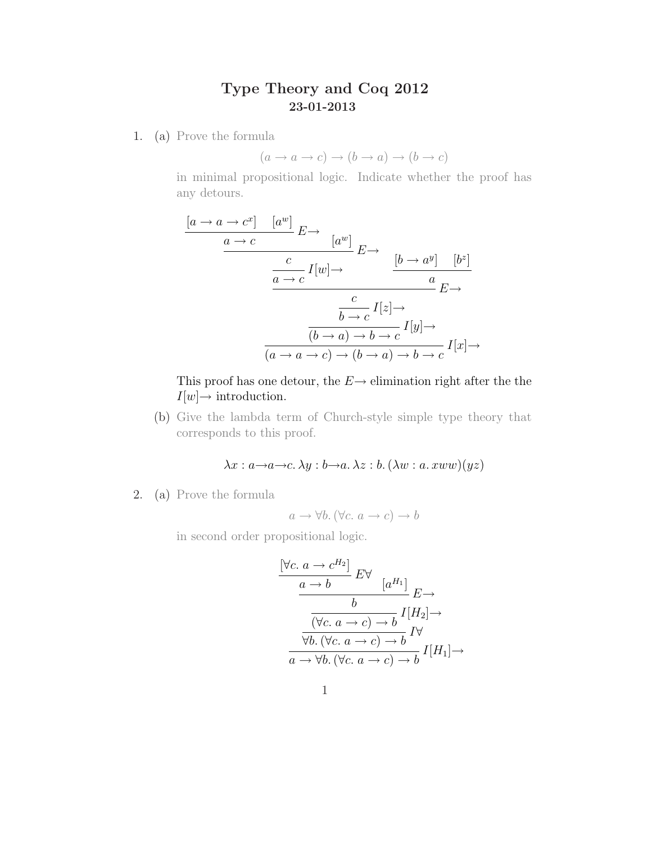## Type Theory and Coq 2012 23-01-2013

1. (a) Prove the formula

$$
(a \to a \to c) \to (b \to a) \to (b \to c)
$$

in minimal propositional logic. Indicate whether the proof has any detours.

$$
\frac{[a \to a \to c^x] \quad [a^w]}{a \to c} E \to \frac{[a^w]}{a \to c} E \to \frac{[b \to a^y] \quad [b^z]}{a}
$$
\n
$$
\frac{c}{b \to c} I[x] \to \frac{c}{b \to c} I[z] \to \frac{[b \to a^y]}{(b \to a) \to b \to c} I[x] \to \frac{[a \to a \to c) \to (b \to a) \to b \to c} I[x] \to
$$

This proof has one detour, the  $E \rightarrow$  elimination right after the the  $I[w] \rightarrow$  introduction.

(b) Give the lambda term of Church-style simple type theory that corresponds to this proof.

 $\lambda x : a \rightarrow a \rightarrow c. \lambda y : b \rightarrow a. \lambda z : b.(\lambda w : a. xww)(yz)$ 

2. (a) Prove the formula

$$
a \rightarrow \forall b. (\forall c. a \rightarrow c) \rightarrow b
$$

in second order propositional logic.

$$
\frac{\begin{array}{c}\n\left[\forall c.\ a \to c^{H_2}\right] E \forall \\
\hline\n\frac{a \to b}{b} E \forall \\
\hline\n\frac{b}{\left(\forall c.\ a \to c\right) \to b} I[H_2] \rightarrow \\
\hline\n\frac{b}{\forall b. (\forall c.\ a \to c) \to b} I \forall \\
\hline\n\frac{a \to \forall b. (\forall c.\ a \to c) \to b}{b} I[H_1] \rightarrow\n\end{array}
$$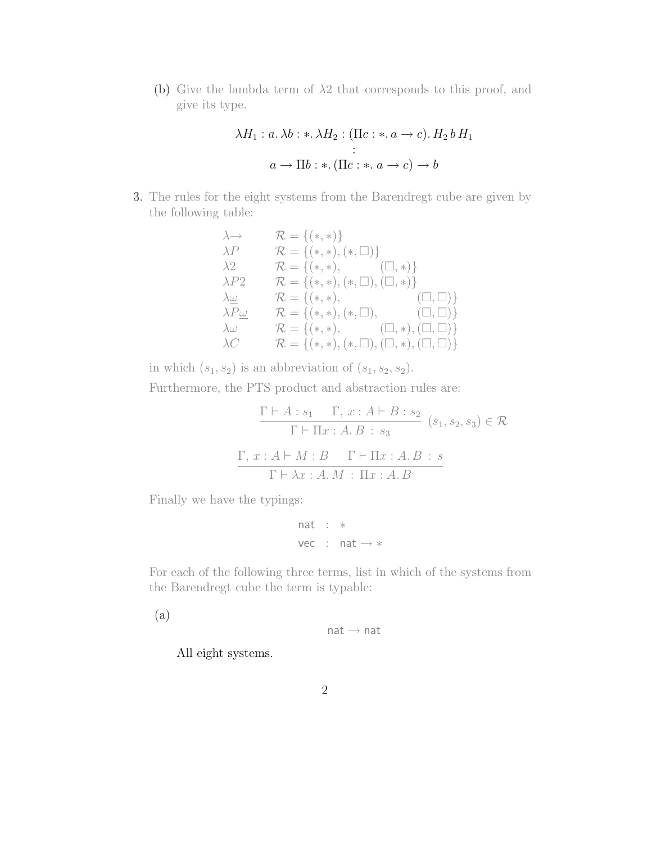(b) Give the lambda term of  $\lambda$ 2 that corresponds to this proof, and give its type.

$$
\lambda H_1: a. \lambda b: \lambda H_2: (\Pi c: \ast. a \to c). H_2 b H_1
$$
  
\n:  
\n
$$
a \to \Pi b: \ast. (\Pi c: \ast. a \to c) \to b
$$

3. The rules for the eight systems from the Barendregt cube are given by the following table:

$$
\lambda \rightarrow \mathcal{R} = \{(*, *)\}
$$
\n
$$
\lambda P \qquad \mathcal{R} = \{(*, *) , (*, \Box)\}
$$
\n
$$
\lambda 2 \qquad \mathcal{R} = \{(*, *) , (\Box, *)\}
$$
\n
$$
\lambda P2 \qquad \mathcal{R} = \{(*, *) , (\Box, \Box), (\Box, *)\}
$$
\n
$$
\lambda \underline{\omega} \qquad \mathcal{R} = \{(*, *) , (\ast, \Box), (\Box, \Box)\}
$$
\n
$$
\lambda P \underline{\omega} \qquad \mathcal{R} = \{(*, *) , (\ast, \Box), (\Box, \Box)\}
$$
\n
$$
\lambda \omega \qquad \mathcal{R} = \{(*, *) , (\Box, \Box), (\Box, *) , (\Box, \Box)\}
$$
\n
$$
\lambda C \qquad \mathcal{R} = \{(*, *) , (*, \Box), (\Box, *) , (\Box, \Box)\}
$$

in which  $(s_1, s_2)$  is an abbreviation of  $(s_1, s_2, s_2)$ .

Furthermore, the PTS product and abstraction rules are:

$$
\frac{\Gamma \vdash A : s_1 \quad \Gamma, x : A \vdash B : s_2}{\Gamma \vdash \Pi x : A.B : s_3} \quad (s_1, s_2, s_3) \in \mathcal{R}
$$

$$
\frac{\Gamma, x : A \vdash M : B \quad \Gamma \vdash \Pi x : A.B : s}{\Gamma \vdash \lambda x : A.M : \Pi x : A.B}
$$

Finally we have the typings:

$$
\begin{array}{rcl} \text{nat} & : & * \\ \text{vec} & : & \text{nat} \rightarrow * \end{array}
$$

For each of the following three terms, list in which of the systems from the Barendregt cube the term is typable:

(a)

```
nat \rightarrow nat
```
All eight systems.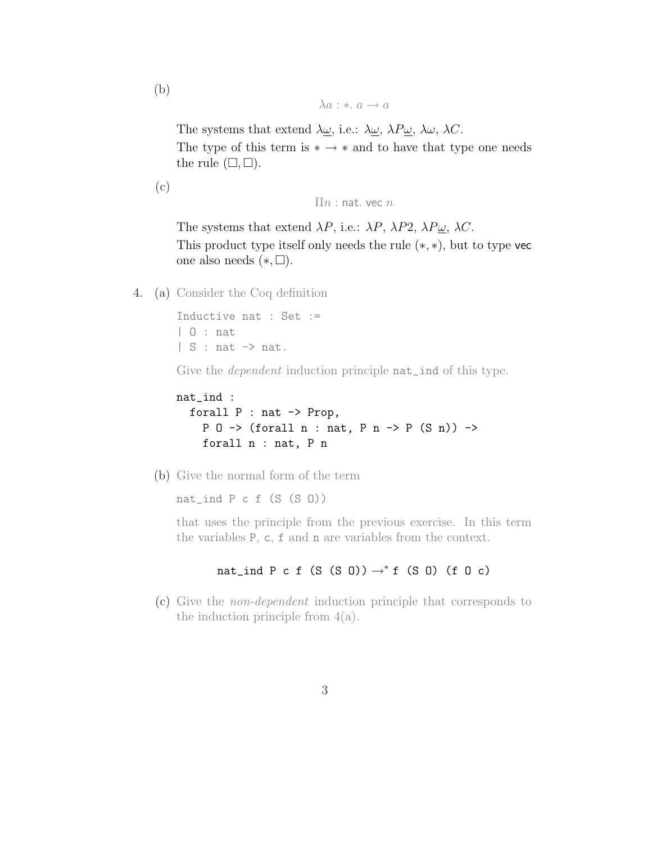(b)

 $\lambda a : * \ldots a \rightarrow a$ 

The systems that extend  $\lambda \omega$ , i.e.:  $\lambda \omega$ ,  $\lambda P \omega$ ,  $\lambda \omega$ ,  $\lambda C$ . The type of this term is  $* \rightarrow *$  and to have that type one needs the rule  $(\square, \square)$ .

(c)

```
\prod n : nat. vec n
```
The systems that extend  $\lambda P$ , i.e.:  $\lambda P$ ,  $\lambda P2$ ,  $\lambda P\underline{\omega}$ ,  $\lambda C$ . This product type itself only needs the rule (∗, ∗), but to type vec one also needs  $(*,\square).$ 

4. (a) Consider the Coq definition

Inductive nat : Set := | O : nat  $| S : nat \rightarrow nat.$ 

Give the *dependent* induction principle **nat\_ind** of this type.

```
nat_ind :
  forall P : nat -> Prop,
    P 0 -> (forall n : nat, P n -> P (S n)) ->
    forall n : nat, P n
```
(b) Give the normal form of the term

nat\_ind  $P c f (S (S 0))$ 

that uses the principle from the previous exercise. In this term the variables P, c, f and n are variables from the context.

nat\_ind P c f (S (S O))  $\rightarrow^*$  f (S O) (f O c)

(c) Give the non-dependent induction principle that corresponds to the induction principle from  $4(a)$ .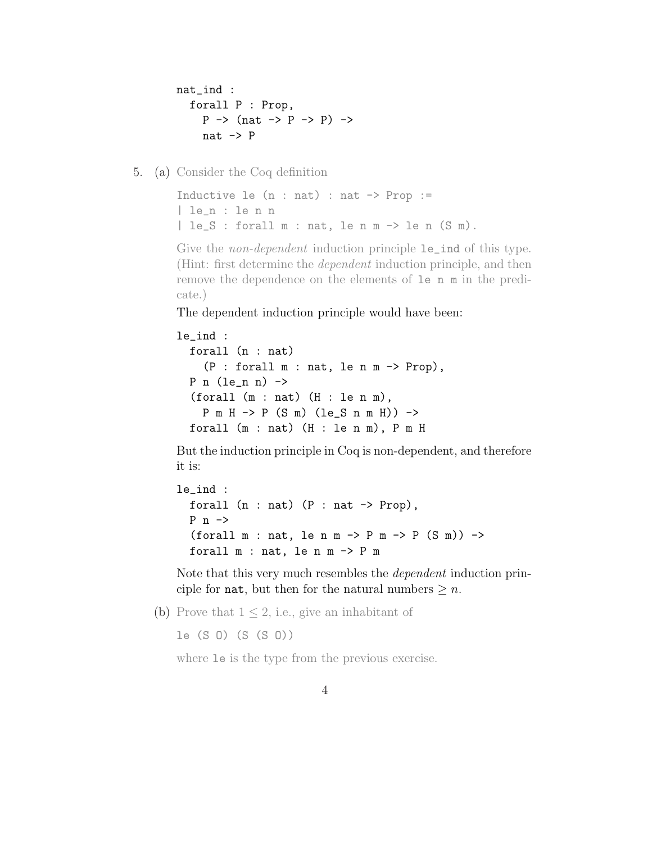```
nat_ind :
   forall P : Prop,
       P \rightarrow (nat \rightarrow P \rightarrow P) \rightarrownat \rightarrow P
```
5. (a) Consider the Coq definition

```
Inductive le (n : nat) : nat \rightarrow Prop :=| le_n : le n n
| le_S : forall m : nat, le n m -> le n (S m).
```
Give the *non-dependent* induction principle  $le$ **le\_ind** of this type. (Hint: first determine the dependent induction principle, and then remove the dependence on the elements of le n m in the predicate.)

The dependent induction principle would have been:

```
le_ind :
  forall (n : nat)
    (P : for all m : nat, le n m \rightarrow Prop),P n (\text{le n n}) \rightarrow(forall (m : nat) (H : len m),
    P m H -> P (S m) (le_S n m H)) ->
  forall (m : nat) (H : le n m), P m H
```
But the induction principle in Coq is non-dependent, and therefore it is:

```
le_ind :
  forall (n : nat) (P : nat \rightarrow Prop),
  P n \rightarrow(forall m : nat, le n m \rightarrow P m \rightarrow P (S m)) \rightarrowforall m : nat, le n m -> P m
```
Note that this very much resembles the dependent induction principle for **nat**, but then for the natural numbers  $\geq n$ .

(b) Prove that  $1 \leq 2$ , i.e., give an inhabitant of

le (S O) (S (S O))

where le is the type from the previous exercise.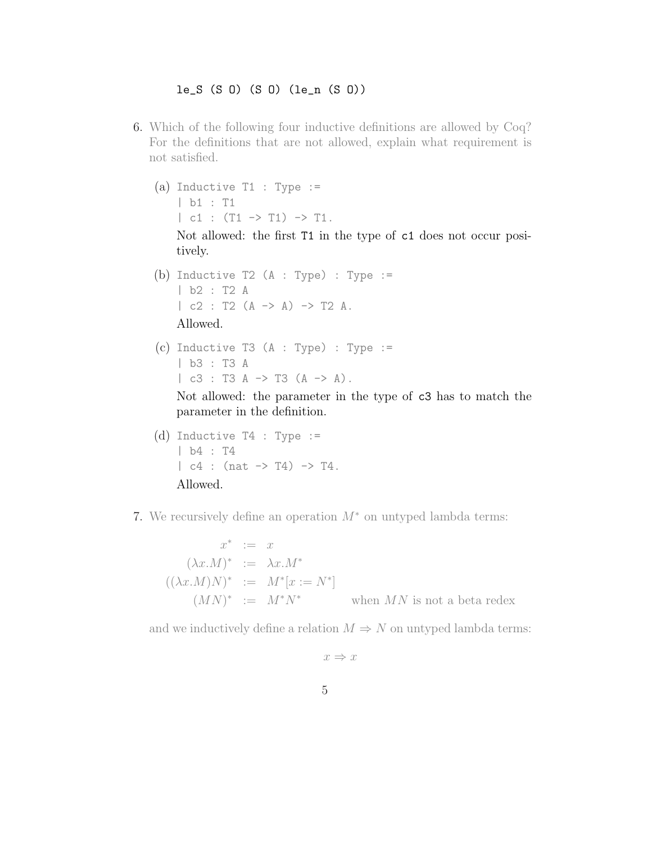## le\_S (S O) (S O) (le\_n (S O))

- 6. Which of the following four inductive definitions are allowed by Coq? For the definitions that are not allowed, explain what requirement is not satisfied.
	- (a) Inductive T1 : Type  $:=$ | b1 : T1  $| c1 : (T1 \rightarrow T1) \rightarrow T1.$

Not allowed: the first T1 in the type of c1 does not occur positively.

- (b) Inductive T2 (A : Type) : Type := | b2 : T2 A  $| c2 : T2 (A \rightarrow A) \rightarrow T2 A.$ Allowed.
- (c) Inductive T3  $(A : Type)$  : Type := | b3 : T3 A  $|$  c3 : T3 A -> T3 (A -> A).

Not allowed: the parameter in the type of c3 has to match the parameter in the definition.

- (d) Inductive T4 : Type := | b4 : T4  $| c4 : (nat \rightarrow T4) \rightarrow T4.$ Allowed.
- 7. We recursively define an operation  $M^*$  on untyped lambda terms:

 $x^* := x$  $(\lambda x.M)^* := \lambda x.M^*$  $((\lambda x.M)N)^* := M^*[x := N^*]$  $(MN)^{*}$  :=  $M^{*}N$ when  $MN$  is not a beta redex

and we inductively define a relation  $M \Rightarrow N$  on untyped lambda terms:

 $x \Rightarrow x$